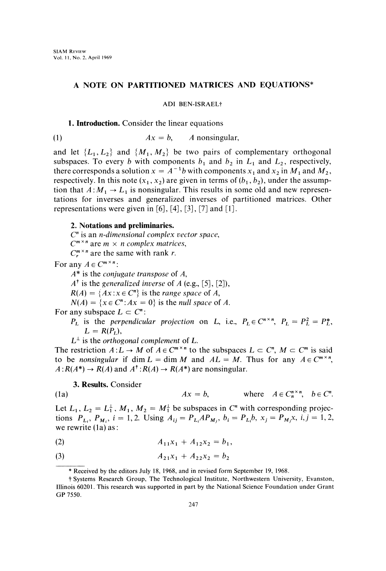# A NOTE ON PARTITIONED MATRICES AND EQUATIONS\*

ADI BEN-ISRAELi

#### 1. Introduction. Consider the linear equations

$$
(1) \t\t Ax = b, \t A nonsingular,
$$

and let  $\{L_1, L_2\}$  and  $\{M_1, M_2\}$  be two pairs of complementary orthogonal subspaces. To every b with components  $b_1$  and  $b_2$  in  $L_1$  and  $L_2$ , respectively, there corresponds a solution  $x = A^{-1}b$  with components  $x_1$  and  $x_2$  in  $M_1$  and  $M_2$ , respectively. In this note  $(x_1, x_2)$  are given in terms of  $(b_1, b_2)$ , under the assumption that  $A: M_1 \to L_1$  is nonsingular. This results in some old and new representations for inverses and generalized inverses of partitioned matrices. Other representations were given in [6], [4], [3], [7] and [1].

## 2. Notations and preliminaries.

 $C<sup>n</sup>$  is an *n*-dimensional complex vector space,  $C^{m \times n}$  are  $m \times n$  complex matrices,

 $C_r^{m \times n}$  are the same with rank r.

For any  $A \in C^{m \times n}$ :

 $A^*$  is the *conjugate transpose* of  $A$ ,

 $A^{\dagger}$  is the generalized inverse of A (e.g., [5], [2]),

 $R(A) = \{Ax : x \in C^n\}$  is the range space of A,

 $N(A) = \{x \in C^n : Ax = 0\}$  is the null space of A.

For any subspace  $L \subset C^n$ :

 $P_L$  is the perpendicular projection on L, i.e.,  $P_L \in C^{n \times n}$ ,  $P_L = P_L^2 = P_L^*$ ,  $L = R(P_L)$ ,

 $L^{\perp}$  is the *orthogonal complement* of L.

 $L^{\perp}$  is the *orthogonal complement* of L.<br>The restriction  $A: L \to M$  of  $A \in C^{m \times n}$  to the subspaces  $L \subset C^n$ ,  $M \subset C^m$  is said to be nonsingular if dim  $L = \dim M$  and  $AL = M$ . Thus for any  $A \in C^{m \times n}$ .  $A: R(A^*) \to R(A)$  and  $A^{\dagger}: R(A) \to R(A^*)$  are nonsingular.<br>
2. **Perulta Gancidan** 

### 3. Results. Consider

**3. Results.** Consider  
(1a) 
$$
Ax = b
$$
, where  $A \in C_n^{n \times n}$ ,  $b \in C^n$ .

Let  $L_1, L_2 = L_1^{\perp}, M_1, M_2 = M_1^{\perp}$  be subspaces in C<sup>n</sup> with corresponding projections  $P_{L_i}$ ,  $P_{M_i}$ ,  $i = 1,2$ . Using  $A_{ij} = P_{L_i}AP_{M_i}$ ,  $b_i = P_{L_i}b$ ,  $x_j = P_{M_i}x$ ,  $i, j = 1,2$ , we rewrite  $(1a)$  as:

$$
(2) \t\t A_{11}x_1 + A_{12}x_2 = b_1,
$$

$$
(3) \t\t\t A_{21}x_1 + A_{22}x_2 = b_2
$$

Received by the editors July 18, 1968, and in revised form September 19, 1968.

<sup>?</sup> Systems Research Group, The Technological Institute, Northwestern University, Evanston, Illinois 60201. This research was supported in part by the National Science Foundation under Grant GP 7550.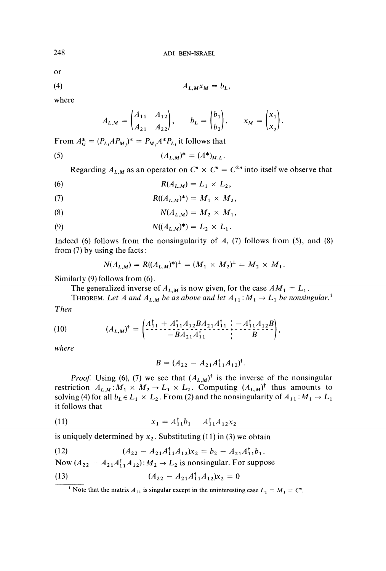or

$$
(4) \t A_{L,M} x_M = b_L,
$$

where

$$
A_{L,M} = \begin{pmatrix} A_{11} & A_{12} \\ A_{21} & A_{22} \end{pmatrix}, \qquad b_L = \begin{pmatrix} b_1 \\ b_2 \end{pmatrix}, \qquad x_M = \begin{pmatrix} x_1 \\ x_2 \end{pmatrix}.
$$

From  $A_{ij}^* = (P_{L_i}AP_{M_j})^* = P_{M_i}A^*P_{L_i}$  it follows that

(5) 
$$
(A_{L,M})^* = (A^*)_{M,L}.
$$

Regarding  $A_{L,M}$  as an operator on  $C^n \times C^n = C^{2n}$  into itself we observe that

$$
R(A_{L,M})=L_1\times L_2,
$$

(7) 
$$
R((A_{L,M})^*) = M_1 \times M_2,
$$

$$
N(A_{L,M}) = M_2 \times M_1,
$$

(9) 
$$
N((A_{L,M})^*) = L_2 \times L_1.
$$

Indeed (6) follows from the nonsingularity of  $A$ , (7) follows from (5), and (8) from (7) by using the facts:

$$
N(A_{L,M}) = R((A_{L,M})^*)^{\perp} = (M_1 \times M_2)^{\perp} = M_2 \times M_1.
$$

Similarly (9) follows from (6).

The generalized inverse of  $A_{L,M}$  is now given, for the case  $AM_1 = L_1$ .

Then THEOREM. Let A and  $A_{L,M}$  be as above and let  $A_{11}: M_1 \to L_1$  be nonsingular.

(10) 
$$
(A_{L,M})^{\dagger} = \begin{pmatrix} A_{1,1}^{\dagger} + A_{1,1}^{\dagger} A_{1,2} B A_{2,1} A_{1,1}^{\dagger} & - A_{1,1}^{\dagger} A_{1,2} B \\ -B A_{2,1} A_{1,1}^{\dagger} & B \end{pmatrix},
$$

where

$$
B = (A_{22} - A_{21}A_{11}^{\dagger}A_{12})^{\dagger}.
$$

*Proof.* Using (6), (7) we see that  $(A_{L,M})^{\dagger}$  is the inverse of the nonsingular restriction  $A_{L,M}: M_1 \times M_2 \to L_1 \times L_2$ . Computing  $(A_{L,M})^{\dagger}$  thus amounts to solving (4) for all  $b_L \in L_1 \times L_2$ . From (2) and the nonsingularity of  $A_{11} : M_1 \rightarrow L_1$ it follows that

(11) 
$$
x_1 = A_{11}^{\dagger}b_1 - A_{11}^{\dagger}A_{12}x_2
$$

is uniquely determined by  $x_2$ . Substituting (11) in (3) we obtain

(12) 
$$
(A_{22} - A_{21}A_{11}^{\dagger}A_{12})x_2 = b_2 - A_{21}A_{11}^{\dagger}b_1.
$$

Now  $(A_{22} - A_{21}A_{11}^{\dagger}A_{12})$ :  $M_2 \rightarrow L_2$  is nonsingular. For suppose

(13) 
$$
(A_{22} - A_{21}A_{11}^{\dagger}A_{12})x_2 = 0
$$

<sup>&</sup>lt;sup>1</sup> Note that the matrix  $A_{11}$  is singular except in the uninteresting case  $L_1 = M_1 = C<sup>n</sup>$ .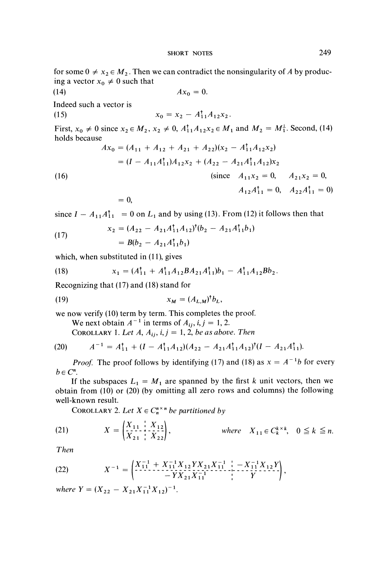for some  $0 \neq x_2 \in M_2$ . Then we can contradict the nonsingularity of A by producing a vector  $x_0 \neq 0$  such that

(14) 
$$
Ax_0 = 0
$$
.  
\nIndeed such a vector is  
\n(15)  $x_0 = x_2 - A_{11}^{\dagger} A_{12} x_2$ .  
\nFirst,  $x_0 \neq 0$  since  $x_2 \in M_2$ ,  $x_2 \neq 0$ ,  $A_{11}^{\dagger} A_{12} x_2 \in M_1$  and  $M_2 = M_1^{\dagger}$ . Second, (14)  
\nholds because  
\n $Ax_0 = (A_{11} + A_{12} + A_{21} + A_{22})(x_2 - A_{11}^{\dagger} A_{12} x_2)$   
\n $= (I - A_{11} A_{11}^{\dagger}) A_{12} x_2 + (A_{22} - A_{21} A_{11}^{\dagger} A_{12}) x_2$   
\n(16) (since  $A_{11} x_2 = 0$ ,  $A_{21} x_2 = 0$ ,

$$
= 0,
$$

since  $I - A_{11}A_{11}^{\dagger} = 0$  on  $L_1$  and by using (13). From (12) it follows then that

(17) 
$$
x_2 = (A_{22} - A_{21}A_{11}^{\dagger}A_{12})^{\dagger}(b_2 - A_{21}A_{11}^{\dagger}b_1) = B(b_2 - A_{21}A_{11}^{\dagger}b_1)
$$

which, when substituted in (11), gives

(18) 
$$
x_1 = (A_{11}^{\dagger} + A_{11}^{\dagger} A_{12} B A_{21} A_{11}^{\dagger}) b_1 - A_{11}^{\dagger} A_{12} B b_2.
$$

Recognizing that (17) and (18) stand for

$$
(19) \t\t\t x_M = (A_{L,M})^\dagger b_L,
$$

we now verify (10) term by term. This completes the proof.

We next obtain  $A^{-1}$  in terms of  $A_{ij}$ ,  $i, j = 1, 2$ .

COROLLARY 1. Let A,  $A_{ij}$ , i,  $j = 1, 2$ , be as above. Then

(20) 
$$
A^{-1} = A_{11}^{\dagger} + (I - A_{11}^{\dagger} A_{12}) (A_{22} - A_{21} A_{11}^{\dagger} A_{12})^{\dagger} (I - A_{21} A_{11}^{\dagger}).
$$
  
Proof. The proof follows by identifying (17) and (18) as  $x = A^{-1}b$  for every

 $b \in C^n$ .

If the subspaces  $L_1 = M_1$  are spanned by the first k unit vectors, then we obtain from (10) or (20) (by omitting all zero rows and columns) the following well-known result.

COROLLARY 2. Let  $X \in C_n^{n \times n}$  be partitioned by

(21) 
$$
X = \begin{pmatrix} X_{11} & X_{12} \\ X_{21} & X_{22} \end{pmatrix}, \qquad \text{where} \quad X_{11} \in C_k^{k \times k}, \quad 0 \le k \le n.
$$

Then

(22) 
$$
X^{-1} = \begin{pmatrix} X_{11}^{-1} + X_{11}^{-1} X_{12} Y X_{21} X_{11}^{-1} & - X_{11}^{-1} X_{12} Y \\ -Y X_{21} X_{11}^{-1} & Y \end{pmatrix},
$$

where  $Y = (X_{22} - X_{21}X_{11}^{-1}X_{12})^{-1}$ .

 $A_{12}A_{11}^{\dagger} = 0$ ,  $A_{22}A_{11}^{\dagger} = 0$